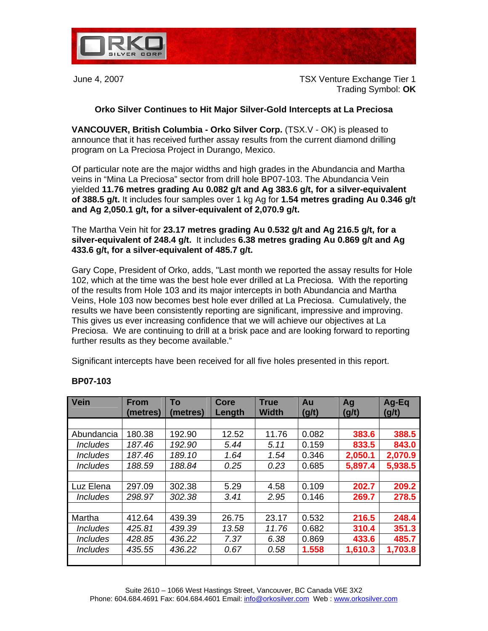

June 4, 2007 TSX Venture Exchange Tier 1 Trading Symbol: **OK** 

## **Orko Silver Continues to Hit Major Silver-Gold Intercepts at La Preciosa**

**VANCOUVER, British Columbia - Orko Silver Corp.** (TSX.V - OK) is pleased to announce that it has received further assay results from the current diamond drilling program on La Preciosa Project in Durango, Mexico.

Of particular note are the major widths and high grades in the Abundancia and Martha veins in "Mina La Preciosa" sector from drill hole BP07-103. The Abundancia Vein yielded **11.76 metres grading Au 0.082 g/t and Ag 383.6 g/t, for a silver-equivalent of 388.5 g/t.** It includes four samples over 1 kg Ag for **1.54 metres grading Au 0.346 g/t and Ag 2,050.1 g/t, for a silver-equivalent of 2,070.9 g/t.** 

The Martha Vein hit for **23.17 metres grading Au 0.532 g/t and Ag 216.5 g/t, for a silver-equivalent of 248.4 g/t.** It includes **6.38 metres grading Au 0.869 g/t and Ag 433.6 g/t, for a silver-equivalent of 485.7 g/t.** 

Gary Cope, President of Orko, adds, "Last month we reported the assay results for Hole 102, which at the time was the best hole ever drilled at La Preciosa. With the reporting of the results from Hole 103 and its major intercepts in both Abundancia and Martha Veins, Hole 103 now becomes best hole ever drilled at La Preciosa. Cumulatively, the results we have been consistently reporting are significant, impressive and improving. This gives us ever increasing confidence that we will achieve our objectives at La Preciosa. We are continuing to drill at a brisk pace and are looking forward to reporting further results as they become available."

Significant intercepts have been received for all five holes presented in this report.

| Vein                          | <b>From</b><br>(metres) | To<br>(metres) | <b>Core</b><br>Length | <b>True</b><br><b>Width</b> | Au<br>(g/t) | Ag<br>(g/t) | $Ag-Eq$<br>(g/t) |
|-------------------------------|-------------------------|----------------|-----------------------|-----------------------------|-------------|-------------|------------------|
|                               |                         |                |                       |                             |             |             |                  |
| Abundancia                    | 180.38                  | 192.90         | 12.52                 | 11.76                       | 0.082       | 383.6       | 388.5            |
| <b>Includes</b>               | 187.46                  | 192.90         | 5.44                  | 5.11                        | 0.159       | 833.5       | 843.0            |
| <i><u><b>Includes</b></u></i> | 187.46                  | 189.10         | 1.64                  | 1.54                        | 0.346       | 2,050.1     | 2,070.9          |
| <i><u><b>Includes</b></u></i> | 188.59                  | 188.84         | 0.25                  | 0.23                        | 0.685       | 5,897.4     | 5,938.5          |
|                               |                         |                |                       |                             |             |             |                  |
| Luz Elena                     | 297.09                  | 302.38         | 5.29                  | 4.58                        | 0.109       | 202.7       | 209.2            |
| <i><u><b>Includes</b></u></i> | 298.97                  | 302.38         | 3.41                  | 2.95                        | 0.146       | 269.7       | 278.5            |
|                               |                         |                |                       |                             |             |             |                  |
| Martha                        | 412.64                  | 439.39         | 26.75                 | 23.17                       | 0.532       | 216.5       | 248.4            |
| <i><u><b>Includes</b></u></i> | 425.81                  | 439.39         | 13.58                 | 11.76                       | 0.682       | 310.4       | 351.3            |
| <i><u><b>Includes</b></u></i> | 428.85                  | 436.22         | 7.37                  | 6.38                        | 0.869       | 433.6       | 485.7            |
| <i><u><b>Includes</b></u></i> | 435.55                  | 436.22         | 0.67                  | 0.58                        | 1.558       | 1,610.3     | 1,703.8          |
|                               |                         |                |                       |                             |             |             |                  |

## **BP07-103**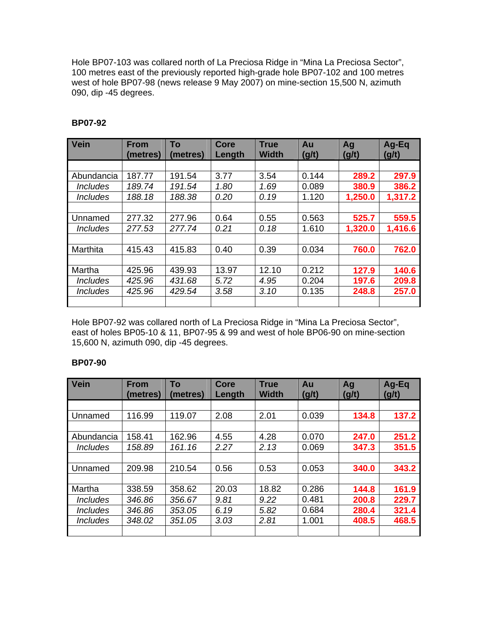Hole BP07-103 was collared north of La Preciosa Ridge in "Mina La Preciosa Sector", 100 metres east of the previously reported high-grade hole BP07-102 and 100 metres west of hole BP07-98 (news release 9 May 2007) on mine-section 15,500 N, azimuth 090, dip -45 degrees.

| <b>Vein</b>                   | <b>From</b><br>(metres) | To<br>(metres) | <b>Core</b><br>Length | <b>True</b><br><b>Width</b> | Au<br>(g/t) | Ag<br>(g/t) | Ag-Eq<br>(g/t) |
|-------------------------------|-------------------------|----------------|-----------------------|-----------------------------|-------------|-------------|----------------|
|                               |                         |                |                       |                             |             |             |                |
| Abundancia                    | 187.77                  | 191.54         | 3.77                  | 3.54                        | 0.144       | 289.2       | 297.9          |
| <i><u><b>Includes</b></u></i> | 189.74                  | 191.54         | 1.80                  | 1.69                        | 0.089       | 380.9       | 386.2          |
| <i><u><b>Includes</b></u></i> | 188.18                  | 188.38         | 0.20                  | 0.19                        | 1.120       | 1,250.0     | 1,317.2        |
|                               |                         |                |                       |                             |             |             |                |
| Unnamed                       | 277.32                  | 277.96         | 0.64                  | 0.55                        | 0.563       | 525.7       | 559.5          |
| <i><b>Includes</b></i>        | 277.53                  | 277.74         | 0.21                  | 0.18                        | 1.610       | 1,320.0     | 1,416.6        |
|                               |                         |                |                       |                             |             |             |                |
| Marthita                      | 415.43                  | 415.83         | 0.40                  | 0.39                        | 0.034       | 760.0       | 762.0          |
|                               |                         |                |                       |                             |             |             |                |
| Martha                        | 425.96                  | 439.93         | 13.97                 | 12.10                       | 0.212       | 127.9       | 140.6          |
| <i><u><b>Includes</b></u></i> | 425.96                  | 431.68         | 5.72                  | 4.95                        | 0.204       | 197.6       | 209.8          |
| <i><u><b>Includes</b></u></i> | 425.96                  | 429.54         | 3.58                  | 3.10                        | 0.135       | 248.8       | 257.0          |
|                               |                         |                |                       |                             |             |             |                |

# **BP07-92**

Hole BP07-92 was collared north of La Preciosa Ridge in "Mina La Preciosa Sector", east of holes BP05-10 & 11, BP07-95 & 99 and west of hole BP06-90 on mine-section 15,600 N, azimuth 090, dip -45 degrees.

## **BP07-90**

| Vein                          | <b>From</b><br>(metres) | To<br>(metres) | <b>Core</b><br>Length | <b>True</b><br><b>Width</b> | Au<br>(g/t) | Ag<br>(g/t) | $Ag-Eq$<br>(g/t) |
|-------------------------------|-------------------------|----------------|-----------------------|-----------------------------|-------------|-------------|------------------|
|                               |                         |                |                       |                             |             |             |                  |
| Unnamed                       | 116.99                  | 119.07         | 2.08                  | 2.01                        | 0.039       | 134.8       | 137.2            |
|                               |                         |                |                       |                             |             |             |                  |
| Abundancia                    | 158.41                  | 162.96         | 4.55                  | 4.28                        | 0.070       | 247.0       | 251.2            |
| <i><b>Includes</b></i>        | 158.89                  | 161.16         | 2.27                  | 2.13                        | 0.069       | 347.3       | 351.5            |
|                               |                         |                |                       |                             |             |             |                  |
| Unnamed                       | 209.98                  | 210.54         | 0.56                  | 0.53                        | 0.053       | 340.0       | 343.2            |
|                               |                         |                |                       |                             |             |             |                  |
| Martha                        | 338.59                  | 358.62         | 20.03                 | 18.82                       | 0.286       | 144.8       | 161.9            |
| <i><u><b>Includes</b></u></i> | 346.86                  | 356.67         | 9.81                  | 9.22                        | 0.481       | 200.8       | 229.7            |
| <i><b>Includes</b></i>        | 346.86                  | 353.05         | 6.19                  | 5.82                        | 0.684       | 280.4       | 321.4            |
| <i><b>Includes</b></i>        | 348.02                  | 351.05         | 3.03                  | 2.81                        | 1.001       | 408.5       | 468.5            |
|                               |                         |                |                       |                             |             |             |                  |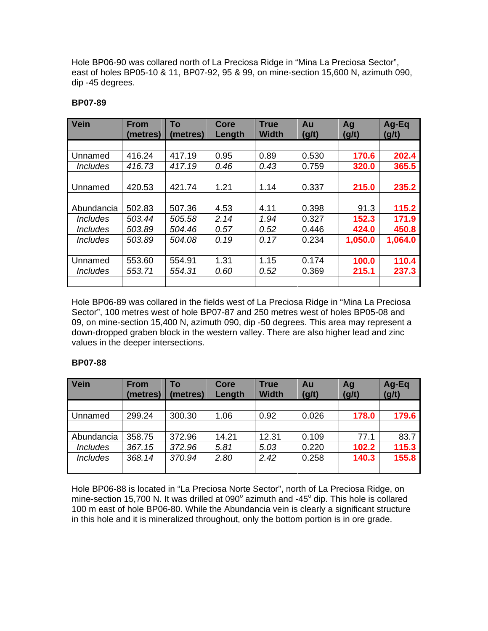Hole BP06-90 was collared north of La Preciosa Ridge in "Mina La Preciosa Sector", east of holes BP05-10 & 11, BP07-92, 95 & 99, on mine-section 15,600 N, azimuth 090, dip -45 degrees.

## **BP07-89**

| <b>Vein</b>                   | <b>From</b><br>(metres) | To<br>(metres) | <b>Core</b><br>Length | <b>True</b><br><b>Width</b> | Au<br>(g/t) | Ag<br>(g/t) | Ag-Eq<br>(g/t) |
|-------------------------------|-------------------------|----------------|-----------------------|-----------------------------|-------------|-------------|----------------|
|                               |                         |                |                       |                             |             |             |                |
| Unnamed                       | 416.24                  | 417.19         | 0.95                  | 0.89                        | 0.530       | 170.6       | 202.4          |
| <i><u><b>Includes</b></u></i> | 416.73                  | 417.19         | 0.46                  | 0.43                        | 0.759       | 320.0       | 365.5          |
|                               |                         |                |                       |                             |             |             |                |
| Unnamed                       | 420.53                  | 421.74         | 1.21                  | 1.14                        | 0.337       | 215.0       | 235.2          |
|                               |                         |                |                       |                             |             |             |                |
| Abundancia                    | 502.83                  | 507.36         | 4.53                  | 4.11                        | 0.398       | 91.3        | 115.2          |
| <b>Includes</b>               | 503.44                  | 505.58         | 2.14                  | 1.94                        | 0.327       | 152.3       | 171.9          |
| <i><b>Includes</b></i>        | 503.89                  | 504.46         | 0.57                  | 0.52                        | 0.446       | 424.0       | 450.8          |
| <i><u><b>Includes</b></u></i> | 503.89                  | 504.08         | 0.19                  | 0.17                        | 0.234       | 1,050.0     | 1,064.0        |
|                               |                         |                |                       |                             |             |             |                |
| Unnamed                       | 553.60                  | 554.91         | 1.31                  | 1.15                        | 0.174       | 100.0       | 110.4          |
| <i><u><b>Includes</b></u></i> | 553.71                  | 554.31         | 0.60                  | 0.52                        | 0.369       | 215.1       | 237.3          |
|                               |                         |                |                       |                             |             |             |                |

Hole BP06-89 was collared in the fields west of La Preciosa Ridge in "Mina La Preciosa Sector", 100 metres west of hole BP07-87 and 250 metres west of holes BP05-08 and 09, on mine-section 15,400 N, azimuth 090, dip -50 degrees. This area may represent a down-dropped graben block in the western valley. There are also higher lead and zinc values in the deeper intersections.

## **BP07-88**

| Vein            | <b>From</b><br>(metres) | To<br>(metres) | Core<br>Length | <b>True</b><br><b>Width</b> | Au<br>(g/t) | Ag<br>(g/t) | Ag-Eq<br>(g/t) |
|-----------------|-------------------------|----------------|----------------|-----------------------------|-------------|-------------|----------------|
|                 |                         |                |                |                             |             |             |                |
| Unnamed         | 299.24                  | 300.30         | 1.06           | 0.92                        | 0.026       | 178.0       | 179.6          |
|                 |                         |                |                |                             |             |             |                |
| Abundancia      | 358.75                  | 372.96         | 14.21          | 12.31                       | 0.109       | 77.1        | 83.7           |
| <b>Includes</b> | 367.15                  | 372.96         | 5.81           | 5.03                        | 0.220       | 102.2       | 115.3          |
| <b>Includes</b> | 368.14                  | 370.94         | 2.80           | 2.42                        | 0.258       | 140.3       | 155.8          |
|                 |                         |                |                |                             |             |             |                |

Hole BP06-88 is located in "La Preciosa Norte Sector", north of La Preciosa Ridge, on mine-section 15,700 N. It was drilled at 090 $^{\circ}$  azimuth and -45 $^{\circ}$  dip. This hole is collared 100 m east of hole BP06-80. While the Abundancia vein is clearly a significant structure in this hole and it is mineralized throughout, only the bottom portion is in ore grade.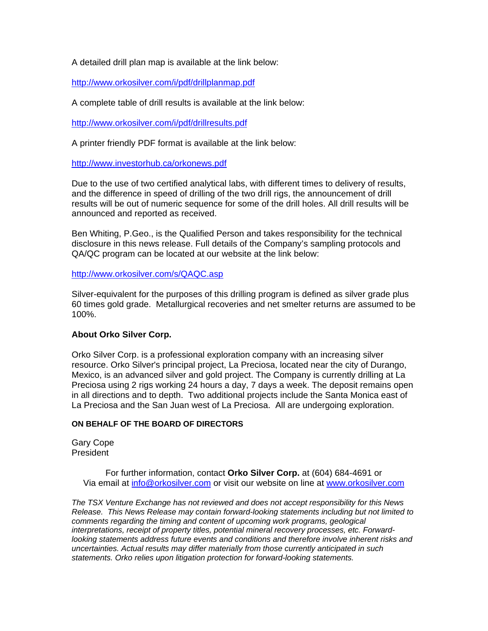A detailed drill plan map is available at the link below:

http://www.orkosilver.com/i/pdf/drillplanmap.pdf

A complete table of drill results is available at the link below:

http://www.orkosilver.com/i/pdf/drillresults.pdf

A printer friendly PDF format is available at the link below:

http://www.investorhub.ca/orkonews.pdf

Due to the use of two certified analytical labs, with different times to delivery of results, and the difference in speed of drilling of the two drill rigs, the announcement of drill results will be out of numeric sequence for some of the drill holes. All drill results will be announced and reported as received.

Ben Whiting, P.Geo., is the Qualified Person and takes responsibility for the technical disclosure in this news release. Full details of the Company's sampling protocols and QA/QC program can be located at our website at the link below:

http://www.orkosilver.com/s/QAQC.asp

Silver-equivalent for the purposes of this drilling program is defined as silver grade plus 60 times gold grade. Metallurgical recoveries and net smelter returns are assumed to be 100%.

## **About Orko Silver Corp.**

Orko Silver Corp. is a professional exploration company with an increasing silver resource. Orko Silver's principal project, La Preciosa, located near the city of Durango, Mexico, is an advanced silver and gold project. The Company is currently drilling at La Preciosa using 2 rigs working 24 hours a day, 7 days a week. The deposit remains open in all directions and to depth. Two additional projects include the Santa Monica east of La Preciosa and the San Juan west of La Preciosa. All are undergoing exploration.

## **ON BEHALF OF THE BOARD OF DIRECTORS**

Gary Cope President

> For further information, contact **Orko Silver Corp.** at (604) 684-4691 or Via email at info@orkosilver.com or visit our website on line at www.orkosilver.com

*The TSX Venture Exchange has not reviewed and does not accept responsibility for this News Release. This News Release may contain forward-looking statements including but not limited to comments regarding the timing and content of upcoming work programs, geological interpretations, receipt of property titles, potential mineral recovery processes, etc. Forwardlooking statements address future events and conditions and therefore involve inherent risks and uncertainties. Actual results may differ materially from those currently anticipated in such statements. Orko relies upon litigation protection for forward-looking statements.*